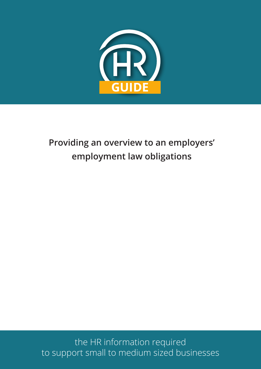

# **Providing an overview to an employers' employment law obligations**

the HR information required to support small to medium sized businesses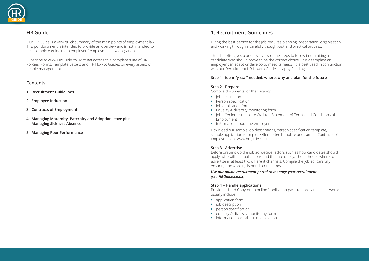# **HR Guide**

Our HR Guide is a very quick summary of the main points of employment law. This pdf document is intended to provide an overview and is not intended to be a complete guide to an employers' employment law obligations.

Subscribe to www.HRGuide.co.uk to get access to a complete suite of HR Policies. Forms, Template Letters and HR How to Guides on every aspect of people management.

# **Contents**

- **1. Recruitment Guidelines**
- **2. Employee Induction**
- **3. Contracts of Employment**
- **4. Managing Maternity, Paternity and Adoption leave plus Managing Sickness Absence**
- **5. Managing Poor Performance**

# **1. Recruitment Guidelines**

Hiring the best person for the job requires planning, preparation, organisation and working through a carefully thought-out and practical process.

- **lob description**
- **•** Person specification
- **•** Job application form
- **•** Equality & diversity monitoring form
- **•** Job offer letter template /Written Statement of Terms and Conditions of Employment
- **•** Information about the employer

This checklist gives a brief overview of the steps to follow in recruiting a candidate who should prove to be the correct choice. It is a template an employer can adapt or develop to meet its needs. It is best used in conjunction with our Recruitment HR How to Guide – Happy Reading

# **Step 1 - Identify staff needed: where, why and plan for the future**

# **Step 2 - Prepare**

Compile documents for the vacancy:

Download our sample job descriptions, person specification template, sample application form plus Offer Letter Template and sample Contracts of Employment at www.hrguide.co.uk

# **Step 3 - Advertise**

Before drawing up the job ad, decide factors such as how candidates should apply, who will sift applications and the rate of pay. Then, choose where to advertise in at least two different channels. Compile the job ad, carefully ensuring the wording is not discriminatory.

### *Use our online recruitment portal to manage your recruitment (see HRGuide.co.uk)*

# **Step 4 – Handle applications**

Provide a 'Hard Copy' or an online 'application pack' to applicants – this would usually include:

- **•** application form
- **•** job description
- person specification
- **•** equality & diversity monitoring form
- **•** information pack about organisation

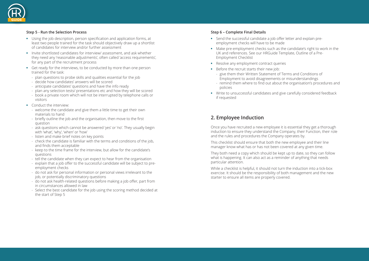# **Step 5 - Run the Selection Process**

- **•** Using the job description, person specification and application forms, at least two people trained for the task should objectively draw up a shortlist of candidates for interview and/or further assessment
- **•** Invite shortlisted candidates for interview/ assessment, and ask whether they need any 'reasonable adjustments', often called 'access requirements', for any part of the recruitment process
- **•** Get ready for the interviews, to be conducted by more than one person trained for the task:
	- plan questions to probe skills and qualities essential for the job
	- decide how candidates' answers will be scored
	- anticipate candidates' questions and have the info ready
	- plan any selection tests/ presentations etc and how they will be scored
	- book a private room which will not be interrupted by telephone calls or visitors
- **•** Conduct the interview:
	- welcome the candidate and give them a little time to get their own materials to hand
	- briefly outline the job and the organisation, then move to the first question
	- ask questions which cannot be answered 'yes' or 'no'. They usually begin with 'what', 'why', 'when' or 'how'
	- listen and make brief notes on key points
	- check the candidate is familiar with the terms and conditions of the job, and finds them acceptable
	- keep to the time frame for the interview, but allow for the candidate's questions
	- tell the candidate when they can expect to hear from the organisation
	- explain that a job offer to the successful candidate will be subject to preemployment checks
	- do not ask for personal information or personal views irrelevant to the job, or potentially discriminatory questions
	- do not ask health-related questions before making a job offer, part from in circumstances allowed in law
	- Select the best candidate for the job using the scoring method decided at the start of Step 5
- Send the successful candidate a job offer letter and explain preemployment checks will have to be made
- **•** Make pre-employment checks such as the candidate's right to work in the UK and references. See our HRGuide Template, Outline of a Pre-Employment Checklist
- **•** Resolve any employment contract queries
- **•** Before the recruit starts their new job:
	- give them their Written Statement of Terms and Conditions of Employment to avoid disagreements or misunderstandings
	- policies
- **•** Write to unsuccessful candidates and give carefully considered feedback if requested

# **Step 6 – Complete Final Details**



# **2. Employee Induction**

Once you have recruited a new employee it is essential they get a thorough induction to ensure they understand the Company, their Function, their role and the rules and procedures the Company operates by.

This checklist should ensure that both the new employee and their line manager know what has or has not been covered at any given time.

They both need a copy which should be kept up to date, so they can follow what is happening. It can also act as a reminder of anything that needs particular attention.

While a checklist is helpful, it should not turn the induction into a tick-box exercise. It should be the responsibility of both management and the new starter to ensure all items are properly covered.

- remind them where to find out about the organisation's procedures and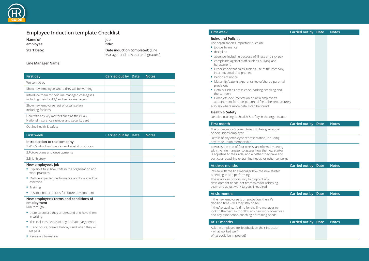

# **Employee Induction template Checklist**

Name of **Job employee: title:**

**Start Date: Date induction completed:** (Line Manager and new starter signature)

#### **Line Manager Name:**

| <b>First day</b>                                                                                 | <b>Carried out by Date</b> |             | <b>Notes</b> |
|--------------------------------------------------------------------------------------------------|----------------------------|-------------|--------------|
| Welcomed by                                                                                      |                            |             |              |
| Show new employee where they will be working                                                     |                            |             |              |
| Introduce them to their line manager, colleagues,<br>including their 'buddy' and senior managers |                            |             |              |
| Show new employee rest of organisation<br>including facilities                                   |                            |             |              |
| Deal with any key matters such as their P45,<br>National Insurance number and security card      |                            |             |              |
| Outline health & safety                                                                          |                            |             |              |
| <b>First week</b>                                                                                | Carried out by             | <b>Date</b> | <b>Notes</b> |
| Introduction to the company<br>1. Who's who, how it works and what it produces                   |                            |             |              |
| 2. Future plans and developments                                                                 |                            |             |              |
| 3. Brief history                                                                                 |                            |             |              |

# **New employee's job**

- **•** Explain it fully, how it fits in the organisation and work practices
- **•** Outline expected performance and how it will be assessed
- **•** Training
- **•** Possible opportunities for future development

#### **New employee's terms and conditions of employment**

Run through…

j

- **•** them to ensure they understand and have them in writing
- **•** This includes details of any probationary period
- **•** … and hours, breaks, holidays and when they will get paid
- **•** Pension information

### **First week**

#### **Rules and Policies**

If the new employee is on probation, then it's decision time – will they stay or go?

- The organisation's important rules on:
- **•** job performance
- **•** discipline
- absence, including because of illness and sick pay
- **•** complaints against staff, such as bullying and harassment
- Other important rules such as use of the company internet, email and phones
- **•** Periods of notice
- Maternity/paternity/parental leave/shared pare provisions
- Details such as dress code, parking, smoking and the canteen
- **•** Complete documentation on new employee's appointment for their personnel file to be kept Also say where more details can be found

#### **Health & Safety**

Detailed training on health & safety in the organis

#### **First month**

The organisation's commitment to being an equal opportunities employer

Details of any employee representation, including any trade union membership

Towards the end of four weeks, an informal meet with the line manager to assess how the new star is adjusting to their role, and whether they have an particular coaching or training needs, or other concern

#### **At three months**

Review with the line manager how the new starter is settling in and performing

This is also an opportunity to pinpoint any development needs, set timescales for achieving them and adjust work targets if required

#### **At six months**

If they're staying, it's time for the line manager to look to the next six months, any new work objection and any experience, coaching or training needs

#### **At 12 months**

- Ask the employee for feedback on their induction – what worked well?
- What could be improved?

|                             | Carried out by Date        | <b>Notes</b> |
|-----------------------------|----------------------------|--------------|
|                             |                            |              |
|                             |                            |              |
| bay                         |                            |              |
| any                         |                            |              |
| ental                       |                            |              |
| hd                          |                            |              |
| securely                    |                            |              |
| sation                      |                            |              |
|                             | Carried out by Date        | <b>Notes</b> |
| I                           |                            |              |
| r<br>D                      |                            |              |
| ing<br>ter<br>iny<br>ncerns |                            |              |
|                             | <b>Carried out by Date</b> | <b>Notes</b> |
| r                           |                            |              |
|                             | Carried out by Date        | <b>Notes</b> |
| ves,                        |                            |              |
|                             | Carried out by Date        | <b>Notes</b> |
|                             |                            |              |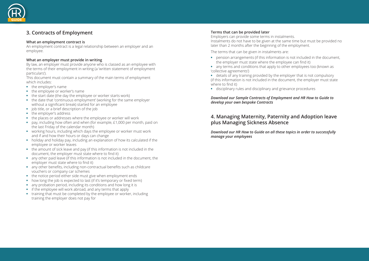# **3. Contracts of Employment**

# **What an employment contract is**

An employment contract is a legal relationship between an employer and an employee.

# **What an employer must provide in writing**

By law, an employer must provide anyone who is classed as an employee with the terms of their employment in writing (a 'written statement of employment particulars').

This document must contain a summary of the main terms of employment which includes:

- **•** the employer's name
- **•** the employee or worker's name
- the start date (the day the employee or worker starts work)
- **•** the date that 'continuous employment' (working for the same employer without a significant break) started for an employee
- **•** job title, or a brief description of the job
- **•** the employer's address
- **•** the places or addresses where the employee or worker will work
- **•** pay, including how often and when (for example, £1,000 per month, paid on the last Friday of the calendar month)
- **•** working hours, including which days the employee or worker must work and if and how their hours or days can change
- **•** holiday and holiday pay, including an explanation of how its calculated if the employee or worker leaves
- **•** the amount of sick leave and pay (if this information is not included in the document, the employer must state where to find it)
- **•** any other paid leave (if this information is not included in the document, the employer must state where to find it)
- **•** any other benefits, including non-contractual benefits such as childcare vouchers or company car schemes
- **•** the notice period either side must give when employment ends
- how long the job is expected to last (if it's temporary or fixed term)
- any probation period, including its conditions and how long it is
- **•** if the employee will work abroad, and any terms that apply
- **•** training that must be completed by the employee or worker, including training the employer does not pay for

# **Terms that can be provided later**

Employers can provide some terms in instalments. Instalments do not have to be given at the same time but must be provided no later than 2 months after the beginning of the employment.

The terms that can be given in instalments are:

- **•** pension arrangements (if this information is not included in the document, the employer must state where the employee can find it)
- **•** any terms and conditions that apply to other employees too (known as 'collective agreements')
- **•** details of any training provided by the employer that is not compulsory (if this information is not included in the document, the employer must state where to find it)
- **•** disciplinary rules and disciplinary and grievance procedures

*Download our Sample Contracts of Employment and HR How to Guide to develop your own bespoke Contracts*

# **4. Managing Maternity, Paternity and Adoption leave plus Managing Sickness Absence**

*Download our HR How to Guide on all these topics in order to successfully manage your employees*

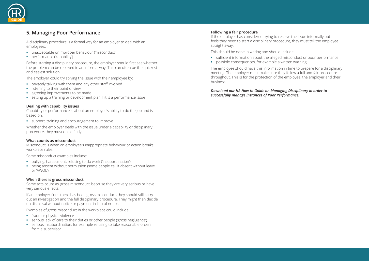# **5. Managing Poor Performance**

- **•** unacceptable or improper behaviour ('misconduct')
- performance ('capability')

A disciplinary procedure is a formal way for an employer to deal with an employee's:

Before starting a disciplinary procedure, the employer should first see whether the problem can be resolved in an informal way. This can often be the quickest and easiest solution.

The employer could try solving the issue with their employee by:

- **•** privately talking with them and any other staff involved
- **•** listening to their point of view
- **•** agreeing improvements to be made
- **•** setting up a training or development plan if it is a performance issue

### **Dealing with capability issues**

Capability or performance is about an employee's ability to do the job and is based on:

**•** support, training and encouragement to improve

Whether the employer deals with the issue under a capability or disciplinary procedure, they must do so fairly.

### **What counts as misconduct**

Misconduct is when an employee's inappropriate behaviour or action breaks workplace rules.

Some misconduct examples include:

- **•** bullying, harassment, refusing to do work ('insubordination')
- **•** being absent without permission (some people call it absent without leave or 'AWOL')

### **When there is gross misconduct**

Some acts count as 'gross misconduct' because they are very serious or have very serious effects.

If an employer finds there has been gross misconduct, they should still carry out an investigation and the full disciplinary procedure. They might then decide on dismissal without notice or payment in lieu of notice.

Examples of gross misconduct in the workplace could include:

- **•** fraud or physical violence
- **•** serious lack of care to their duties or other people ('gross negligence')
- **•** serious insubordination, for example refusing to take reasonable orders from a supervisor

# **Following a fair procedure**

If the employer has considered trying to resolve the issue informally but feels they need to start a disciplinary procedure, they must tell the employee straight away.

This should be done in writing and should include:

- **•** sufficient information about the alleged misconduct or poor performance
- **•** possible consequences, for example a written warning

The employee should have this information in time to prepare for a disciplinary meeting. The employer must make sure they follow a full and fair procedure throughout. This is for the protection of the employee, the employer and their business.

# *Download our HR How to Guide on Managing Disciplinary in order to successfully manage instances of Poor Performance.*